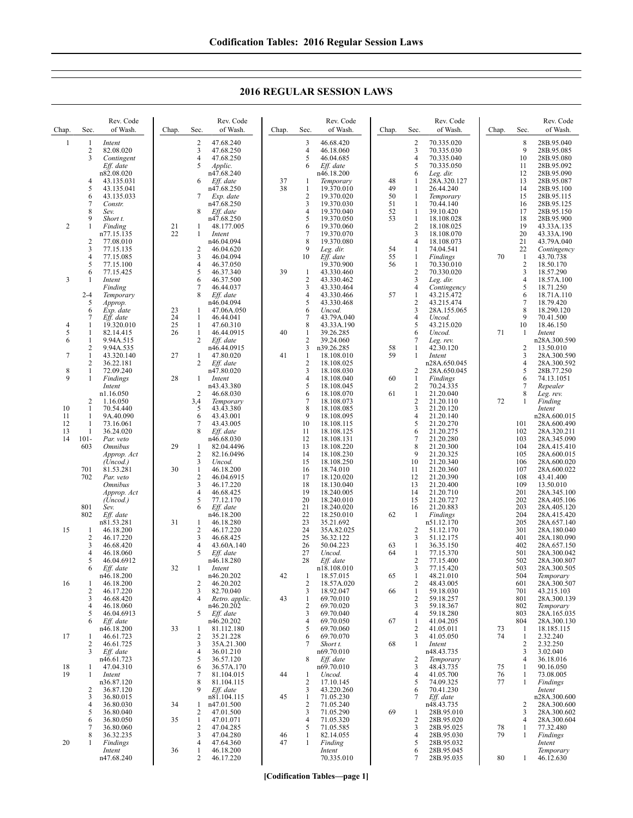Chap. Sec Rev. Code of Wash. 1 1 *Intent* 2 82.08.020<br>3 Contingen 3 *Contingent Eff. date* n82.08.020 4 43.135.031 5 43.135.041  $6 \over 7 \over \text{Constr}$ 7 *Constr.* 8 *Sev.* Short t. 2 1 *Finding* n77.15.135  $\frac{2}{3}$  77.08.010 3 77.15.135 4 77.15.085<br>5 77.15.100 5 77.15.100 6 77.15.425 3 1 *Intent Finding* 2-4 *Temporary* 5 *Approp.* 6 *Exp. date* 7 *Eff. date*  $\begin{array}{cccc} 4 & 1 & 19.320.010 \\ 5 & 1 & 82.14.415 \end{array}$ 5 1 82.14.415  $\frac{1}{2}$  9.94A.515 2 9.94A.535<br>1 43.320.140 7 1 43.320.140<br>2 36.22.181 2 36.22.181<br>1 72.09.240 8 1 72.09.240<br>9 1 *Findings*  $Findings$ *Intent* n1.16.050 2 1.16.050 10 1 70.54.440<br>11 1 9A.40.090<br>12 1 73.16.061  $\frac{1}{1}$  9A.40.090 12 1 73.16.061<br>13 1 36.24.020  $\begin{array}{cccc} 13 & 1 & 36.24.020 \\ 14 & 101 - Par. veto \end{array}$ 101- *Par. veto*<br>603 *Omnibus* 603 *Omnibus Approp. Act (Uncod.)* 701 81.53.281<br>702 *Par. veto* Par. veto *Omnibus Approp. Act (Uncod.)* 801 *Sev.* Eff. date n81.53.281 15 1 46.18.200<br>2 46.17.220  $\frac{2}{3}$  46.17.220  $\overline{3}$  46.68.420<br>4 46.18.060  $4$  46.18.060<br>5 46.04.691 46.04.6912 6 *Eff. date* n46.18.200 16 1 46.18.200<br>2 46.17.220 2 46.17.220 3 46.68.420 4 46.18.060<br>5 46.04.691 5 46.04.6913<br>6 *Eff. date* Eff. date n46.18.200 17 1 46.61.723 2 46.61.725<br>3 Eff. date Eff. date n46.61.723 18 1 47.04.310<br>19 1 *Intent* 19 1 *Intent* n36.87.120  $\frac{2}{3}$   $\frac{36.87.120}{36.80.015}$ 3 36.80.015<br>4 36.80.030 36.80.030 5 36.80.040  $6$  36.80.050 7 36.80.060<br>8 36.32.235 8 36.32.235<br>1 *Findinos* 20 1 *Findings Intent* Chap. Sec. Rev. Code of Wash. 2 47.68.240<br>3 47.68.250 3 47.68.250<br>4 47.68.250 4 47.68.250<br>5 *Applic*. 5 *Applic.* n47.68.240 6 *Eff. date* n47.68.250 7 *Exp. date* n47.68.250 8 *Eff. date* n47.68.250 21 1 48.177.005<br>22 1 Intent *Intent* n46.04.094 2 46.04.620<br>3 46.04.094 3 46.04.094<br>4 46.37.050  $\frac{4}{5}$   $\frac{46.37.050}{46.37.340}$ 5 46.37.340 6 46.37.500 7 46.44.037<br>8 *Eff. date* Eff. date n46.04.094 23 1 47.06A.050<br>24 1 46.44.041 24 1 46.44.041<br>25 1 47.60.310 25 1 47.60.310<br>26 1 46.44.091 1 46.44.0915<br>2 Eff. date 2 *Eff. date* n46.44.0915 27 1 47.80.020<br>2 Eff. date Eff. date n47.80.020 28 1 *Intent* n43.43.380 2 46.68.030<br>3,4 Temporary 3,4 *Temporary* 5 43.43.380 6 43.43.001 7 43.43.005<br>8 Eff. date Eff. date n46.68.030 29 1 82.04.4496 2 82.16.0496<br>3 *Uncod*. 3 *Uncod.* 30 1 46.18.200<br>2 46.04.691 2 46.04.6915<br>3 46.17.220  $\begin{array}{r} 3 & 46.17.220 \\ 4 & 46.68.425 \\ 5 & 77.12.170 \end{array}$ 4 46.68.425 5 77.12.170 6 *Eff. date* n46.18.200 31 1 46.18.280 2 46.17.220<br>3 46.68.425 3 46.68.425<br>4 43.60A.14 4 43.60A.140<br>5 Eff. date 5 *Eff. date* n46.18.280 32 1 *Intent*  $n46.20.202$  $\frac{2}{3}$   $\frac{46.20.202}{82.70.040}$ 3 82.70.040 4 *Retro. applic.* n46.20.202 5 *Eff. date* n46.20.202 33 1 81.112.180 2 35.21.228 3 35A.21.300<br>4 36.01.210  $\begin{array}{cc}\n 4 & 36.01.210 \\
 5 & 36.57.120\n \end{array}$  $5$  36.57.120<br>6 36.57A.17 36.57A.170 81.104.015 8 81.104.115<br>9 *Eff date* Eff. date n81.104.115 34 1 n47.01.500 2 47.01.500 35 1 47.01.071<br>2 47.04.285  $\frac{2}{3}$  47.04.285 3 47.04.280<br>4 47.64360 47.64.360 36 1 46.18.200 Chap. Sec. Rev. Code of Wash. 3 46.68.420<br>4 46.18.060 4 46.18.060<br>5 46.04.685 5 46.04.685<br>6 *Eff. date* 6 *Eff. date* n46.18.200 37 1 *Temporary* 38 1 19.370.010 2 19.370.020<br>3 19.370.030 3 19.370.030 4 19.370.040<br>5 19.370.050 5 19.370.050  $\frac{6}{7}$  19.370.060 7 19.370.070<br>8 19.370.080  $\frac{8}{9}$  19.370.080 9 *Leg. dir.* 10 *Eff. date* 19.370.900 39 1 43.330.460<br>2 43.330.462 2 43.330.462<br>3 43.330.464 3 43.330.464 4 43.330.466<br>5 43.330.468 5 43.330.468 6 *Uncod.* 7 43.79A.040<br>8 43.33A.190 8 43.33A.190 40 1 39.26.285  $\frac{2}{3}$   $\frac{39.24.060}{26.285}$ 3 n39.26.285<br>1 18.108.01  $\begin{array}{cccc}\n41 & 1 & 18.108.010 \\
 & 2 & 18.108.025\n\end{array}$ 2 18.108.025<br>3 18.108.030 3 18.108.030  $\frac{4}{5}$  18.108.040 5 18.108.045  $\frac{6}{7}$  18.108.070 7 18.108.073<br>8 18.108.085 8 18.108.085<br>9 18.108.095 9 18.108.095<br>10 18.108.115 10 18.108.115<br>11 18.108.125 11 18.108.125<br>12 18.108.131 12 18.108.131 13 18.108.220<br>14 18.108.230<br>15 18.108.250 14 18.108.230 15 18.108.250<br>16 18.74.010 16 18.74.010<br>17 18.120.02 17 18.120.020 18 18.130.040<br>19 18.240.005 19 18.240.005 20 18.240.010<br>21 18.240.020 21 18.240.020 22 18.250.010<br>
23 35.21.692<br>
24 35A.82.025<br>
25 36.32.122 23 35.21.692 35A.82.025 25 36.32.122<br>26 50.04.223 26 50.04.223<br>27 *Uncod.* 27 *Uncod.* Eff. date n18.108.010 42 1 18.57.015<br>2 18.57A.02 2 18.57A.020<br>3 18.92.047 3 18.92.047 43 1 69.70.010 2 69.70.020<br>3 69.70.040  $\frac{3}{4}$  69.70.040 4 69.70.050 69.70.060 6 69.70.070 7 *Short t.* n69.70.010 8 *Eff. date* n69.70.010 44 1 *Uncod.* 2 17.10.145<br>3 43.220.26 3 43.220.260<br>1 71.05.230 45 1 71.05.230<br>2 71.05.240 2 71.05.240<br>3 71.05.290 3 71.05.290<br>4 71.05.320<br>5 71.05.585 71.05.320 5 71.05.585<br>1 82.14.055 46 1 82.14.055<br>47 1 *Finding*  $Finding$ *Intent* Chap. Sec. Rev. Code of Wash. 2 70.335.020<br>3 70.335.030 3 70.335.030<br>4 70.335.040  $\begin{bmatrix} 4 & 70.335.040 \\ 5 & 70.335.050 \end{bmatrix}$ 5 70.335.050<br>6 *Leg. dir.* 6 *Leg. dir.* 48 1 28A.320.127<br>49 1 26.44.240 49 1 26.44.240<br>50 1 Temporary 50 1 *Temporary*  $\begin{array}{cccc} 51 & 1 & 70.44.140 \\ 52 & 1 & 39.10.420 \end{array}$ 52 1 39.10.420<br>53 1 18.108.02 1 18.108.028<br>2 18.108.025 2 18.108.025 3 18.108.070<br>4 18.108.073 4 18.108.073 54 1 74.04.541<br>55 1 *Findings* 55 1 *Findings* 70.330.010  $\frac{2}{3}$   $\frac{70.330.020}{\text{~}e\sigma \text{~}dir}$ 3 *Leg. dir.* 4 *Contingency* 57 1 43.215.472<br>2 43.215.474  $\frac{2}{3}$   $\frac{43.215.474}{284.155.06}$ 3 28A.155.065 4 *Uncod.* 5 43.215.020 6 *Uncod.* 7 *Leg. rev.* 58 1 42.30.120 59 1 *Intent* n28A.650.045 2 28A.650.045 60 1 *Findings* 2 70.24.335 61 1 21.20.040<br>2 21.20.110 2 21.20.110<br>3 21.20.120  $\begin{array}{r} 3 & 21.20.120 \\ 4 & 21.20.140 \\ 5 & 21.20.270 \end{array}$ 4 21.20.140 5 21.20.270  $6$  21.20.275<br>7 21.20.280  $\begin{array}{r} 7 & 21.20.280 \\ 8 & 21.20.300 \end{array}$  $\begin{array}{@{}c@{\hspace{1em}}c@{\hspace{1em}}l} 8 & 21.20.300 \\ 9 & 21.20.300 \end{array}$ 9 21.20.325 10 21.20.340 11 21.20.360<br>12 21.20.390 12 21.20.390<br>13 21.20.400 13 21.20.400<br>14 21.20.710<br>15 21.20.727 14 21.20.710 15 21.20.727 16 21.20.883<br>1 *Findings* 62 1 *Findings* n51.12.170 2 51.12.170 3 51.12.175 63 1 36.35.150  $\frac{1}{2}$  77.15.370 77.15.400 3 77.15.420<br>1 48.21.010  $65 \qquad 1 \qquad 48.21.010$ <br>2  $48.43.005$ 2 48.43.005 66 1 59.18.030 2 59.18.257 3 59.18.367<br>4 59.18.280  $\begin{bmatrix} 4 & 59.18.280 \\ 1 & 41.04.205 \end{bmatrix}$ 67 1 41.04.205  $\frac{2}{3}$  41.05.011 41.05.050 68 1 *Intent* n48.43.735 2 *Temporary* 3 48.43.735 4 41.05.700 5 74.09.325<br>6 70.41.230 6 70.41.230<br>7 *Eff date* Eff. date n48.43.735 69 1 28B.95.010 2 28B.95.020<br>3 28B.95.025 3 28B.95.025<br>4 28B.95.030 4 28B.95.030 28B 95.032 6 28B.95.045<br>7 28B.95.035 Chap. Sec. Rev. Code of Wash. 8 28B.95.040<br>9 28B.95.085 9 28B.95.085<br>10 28B.95.080 10 28B.95.080<br>11 28B.95.092 11 28B.95.092 28B 95.090 13 28B.95.087 14 28B.95.100<br>15 28B.95.115 15 28B.95.115<br>16 28B.95.125 16 28B.95.125<br>17 28B.95.150 17 28B.95.150<br>18 28B.95.900 18 28B.95.900<br>19 43.33A.135 19 43.33A.135 20 43.33A.190<br>21 43.79A.040 21 43.79A.040<br>22 *Contingency* 22 *Contingency* 70 1 43.70.738<br>2 18.50.170<br>3 18.57.290 2 18.50.170 3 18.57.290<br>4 18.57A.10<br>5 18.71.250 18.57A.100 5 18.71.250 18.71A.110 7 18.79.420<br>8 18.290.120 8 18.290.120<br>9 70.41.500 9 70.41.500<br>10 18.46.150 10 18.46.150 71 1 *Intent* n28A.300.590 2 13.50.010 3 28A.300.590<br>4 28A.300.592 4 28A.300.592<br>5 28B.77.250  $\frac{5}{6}$  28B.77.250<br>6 74.13.1051 6 74.13.1051 7 *Repealer* 8 *Leg. rev.* 72 1 *Finding Intent* n28A.600.015 101 28A.600.490<br>102 28A.320.211 102 28A.320.211<br>103 28A.345.090 103 28A.345.090<br>104 28A.415.410 104 28A.415.410<br>105 28A.600.015 28A.600.015 106 28A.600.020<br>107 28A.600.022 107 28A.600.022 108 43.41.400<br>109 13.50.010 109 13.50.010<br>
201 28A.345.1<br>
202 28A.405.1 28A.345.100 202 28A.405.106<br>203 28A.405.120 203 28A.405.120 204 28A.415.420<br>205 28A.657.140 28A.657.140 301 28A.180.040 401 28A.180.090 402 28A.657.150<br>501 28A.300.042 501 28A.300.042<br>502 28A 300.807 28A.300.807 503 28A.300.505<br>504 Temporary 504 *Temporary* 601 28A.300.507<br>701 43.215.103 43.215.103 801 28A.300.139<br>802 Temporary 802 *Temporary* 803 28A.165.035 804 28A.300.130<br>1 18.185.115 73 1 18.185.115<br>74 1 2.32.240 1 2.32.240  $\frac{2}{3}$   $\frac{2.32.250}{3}$   $\frac{302040}{2}$  $\begin{array}{r} 3 & 3.02.040 \\ 4 & 36.18.01 \end{array}$ 4 36.18.016<br>1 90.16.050 75 1 90.16.050<br>76 1 73.08.005<br>77 1 *Findings* 1 73.08.005<br>1 *Findings*  $Findings$ *Intent* n28A.300.600 2 28A.300.600<br>3 28A.300.602 3 28A.300.602<br>4 28A.300.604 4 28A.300.604 78 1 77.32.480<br>79 1 *Findings*  $Findings$ *Intent Temporary*

## **2016 REGULAR SESSION LAWS**

**[Codification Tables—page 1]**

70.335.010

28B.95.035

80 1 46.12.630

2 46.17.220

n47.68.240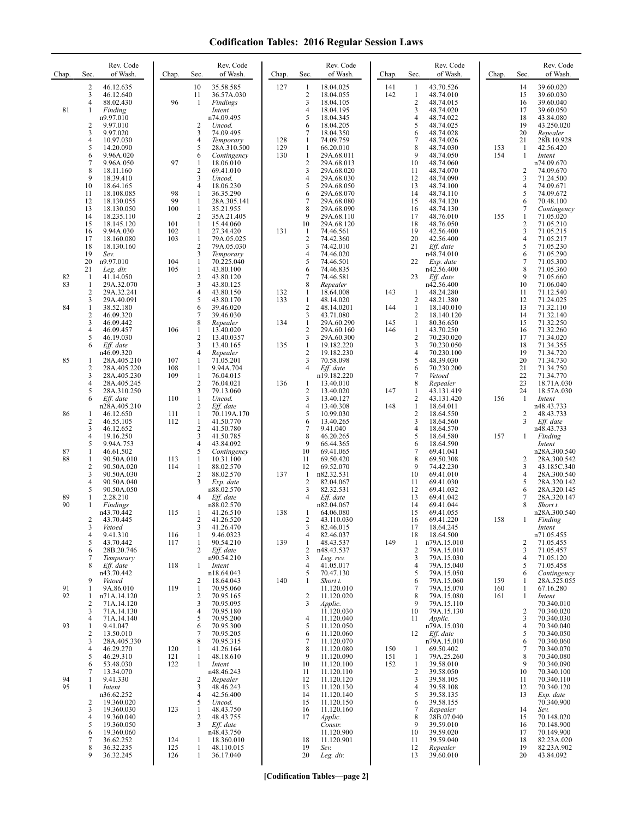## **Codification Tables: 2016 Regular Session Laws**

| Chap.          | Sec.                                                        | Rev. Code<br>of Wash.                                                                            | Chap.                  | Sec.                                                                              | Rev. Code<br>of Wash.                                                                           | Chap.      | Sec.                                                                  | Rev. Code<br>of Wash.                                                                                | Chap.             | Sec.                                                                     | Rev. Code<br>of Wash.                                                                                | Chap.      | Sec.                                             | Rev. Code<br>of Wash.                                                                                 |
|----------------|-------------------------------------------------------------|--------------------------------------------------------------------------------------------------|------------------------|-----------------------------------------------------------------------------------|-------------------------------------------------------------------------------------------------|------------|-----------------------------------------------------------------------|------------------------------------------------------------------------------------------------------|-------------------|--------------------------------------------------------------------------|------------------------------------------------------------------------------------------------------|------------|--------------------------------------------------|-------------------------------------------------------------------------------------------------------|
| 81             | 2<br>3<br>4<br>1<br>2<br>3<br>4                             | 46.12.635<br>46.12.640<br>88.02.430<br>Finding<br>n9.97.010<br>9.97.010<br>9.97.020<br>10.97.030 | 96                     | 10<br>11<br>-1<br>2<br>3<br>4                                                     | 35.58.585<br>36.57A.030<br>Findings<br>Intent<br>n74.09.495<br>Uncod.<br>74.09.495<br>Temporary | 127<br>128 | -1<br>$\overline{2}$<br>3<br>$\overline{4}$<br>5<br>6<br>7<br>1       | 18.04.025<br>18.04.055<br>18.04.105<br>18.04.195<br>18.04.345<br>18.04.205<br>18.04.350<br>74.09.759 | 141<br>142        | 1<br>$\mathbf{1}$<br>$\mathbf{2}$<br>3<br>$\overline{4}$<br>5<br>6<br>7  | 43.70.526<br>48.74.010<br>48.74.015<br>48.74.020<br>48.74.022<br>48.74.025<br>48.74.028<br>48.74.026 |            | 14<br>15<br>16<br>17<br>18<br>19<br>20<br>21     | 39.60.020<br>39.60.030<br>39.60.040<br>39.60.050<br>43.84.080<br>43.250.020<br>Repealer<br>28B.10.928 |
|                | 5<br>6<br>$\tau$<br>8<br>9                                  | 14.20.090<br>9.96A.020<br>9.96A.050<br>18.11.160<br>18.39.410                                    | 97                     | 5<br>6<br>1<br>$\sqrt{2}$<br>3                                                    | 28A.310.500<br>Contingency<br>18.06.010<br>69.41.010<br>Uncod.                                  | 129<br>130 | $\mathbf{1}$<br>$\mathbf{1}$<br>$\overline{c}$<br>3<br>$\overline{4}$ | 66.20.010<br>29A.68.011<br>29A.68.013<br>29A.68.020<br>29A.68.030                                    |                   | 8<br>9<br>10<br>11<br>12                                                 | 48.74.030<br>48.74.050<br>48.74.060<br>48.74.070<br>48.74.090                                        | 153<br>154 | 1<br>$\mathbf{1}$<br>$\overline{2}$<br>3         | 42.56.420<br>Intent<br>n74.09.670<br>74.09.670<br>71.24.500                                           |
|                | 10<br>11<br>12<br>13<br>14<br>15                            | 18.64.165<br>18.108.085<br>18.130.055<br>18.130.050<br>18.235.110<br>18.145.120                  | 98<br>99<br>100<br>101 | $\overline{4}$<br>1<br>$\mathbf{1}$<br>1<br>$\overline{2}$<br>$\mathbf{1}$        | 18.06.230<br>36.35.290<br>28A.305.141<br>35.21.955<br>35A.21.405<br>15.44.060                   |            | 5<br>6<br>$\overline{7}$<br>8<br>9<br>10                              | 29A.68.050<br>29A.68.070<br>29A.68.080<br>29A.68.090<br>29A.68.110<br>29A.68.120                     |                   | 13<br>14<br>15<br>16<br>17<br>18                                         | 48.74.100<br>48.74.110<br>48.74.120<br>48.74.130<br>48.76.010<br>48.76.050                           | 155        | $\overline{4}$<br>5<br>6<br>7<br>1<br>$\sqrt{2}$ | 74.09.671<br>74.09.672<br>70.48.100<br>Contingency<br>71.05.020<br>71.05.210                          |
|                | 16<br>17<br>18<br>19<br>20                                  | 9.94A.030<br>18.160.080<br>18.130.160<br>Sev.<br>n9.97.010                                       | 102<br>103<br>104      | $\mathbf{1}$<br>1<br>$\sqrt{2}$<br>3<br>$\mathbf{1}$                              | 27.34.420<br>79A.05.025<br>79A.05.030<br>Temporary<br>70.225.040                                | 131        | $\mathbf{1}$<br>$\overline{2}$<br>3<br>4<br>5                         | 74.46.561<br>74.42.360<br>74.42.010<br>74.46.020<br>74.46.501                                        |                   | 19<br>20<br>21<br>22                                                     | 42.56.400<br>42.56.400<br>Eff. date<br>n48.74.010<br>Exp. date                                       |            | 3<br>$\overline{4}$<br>5<br>6<br>7               | 71.05.215<br>71.05.217<br>71.05.230<br>71.05.290<br>71.05.300                                         |
| 82<br>83<br>84 | 21<br>1<br>$\mathbf{1}$<br>2<br>3                           | Leg. dir.<br>41.14.050<br>29A.32.070<br>29A.32.241<br>29A.40.091                                 | 105                    | $\mathbf{1}$<br>$\overline{2}$<br>3<br>4<br>5                                     | 43.80.100<br>43.80.120<br>43.80.125<br>43.80.150<br>43.80.170                                   | 132<br>133 | 6<br>$\overline{7}$<br>8<br>1<br>1<br>$\overline{2}$                  | 74.46.835<br>74.46.581<br>Repealer<br>18.64.008<br>48.14.020<br>48.14.0201                           | 143               | 23<br>1<br>$\overline{\mathbf{c}}$                                       | n42.56.400<br>Eff. date<br>n42.56.400<br>48.24.280<br>48.21.380                                      |            | 8<br>9<br>10<br>11<br>12<br>13                   | 71.05.360<br>71.05.660<br>71.06.040<br>71.12.540<br>71.24.025                                         |
|                | $\mathbf{1}$<br>$\overline{\mathbf{c}}$<br>3<br>4<br>5<br>6 | 38.52.180<br>46.09.320<br>46.09.442<br>46.09.457<br>46.19.030<br>Eff. date                       | 106                    | 6<br>7<br>8<br>1<br>$\overline{2}$<br>3                                           | 39.46.020<br>39.46.030<br>Repealer<br>13.40.020<br>13.40.0357<br>13.40.165                      | 134<br>135 | 3<br>$\mathbf{1}$<br>$\sqrt{2}$<br>3<br>$\mathbf{1}$                  | 43.71.080<br>29A.60.290<br>29A.60.160<br>29A.60.300<br>19.182.220                                    | 144<br>145<br>146 | 1<br>$\overline{\mathbf{c}}$<br>$\mathbf{1}$<br>$\mathbf{1}$<br>2<br>3   | 18.140.010<br>18.140.120<br>80.36.650<br>43.70.250<br>70.230.020<br>70.230.050                       |            | 14<br>15<br>16<br>17<br>18                       | 71.32.110<br>71.32.140<br>71.32.250<br>71.32.260<br>71.34.020<br>71.34.355                            |
| 85             | 1<br>2<br>3<br>4                                            | n46.09.320<br>28A.405.210<br>28A.405.220<br>28A.405.230<br>28A.405.245                           | 107<br>108<br>109      | $\overline{4}$<br>1<br>$\mathbf{1}$<br>1<br>$\sqrt{2}$                            | Repealer<br>71.05.201<br>9.94A.704<br>76.04.015<br>76.04.021                                    | 136        | $\overline{2}$<br>3<br>4<br>1                                         | 19.182.230<br>70.58.098<br>Eff. date<br>n19.182.220<br>13.40.010                                     |                   | 4<br>5<br>6<br>7<br>8                                                    | 70.230.100<br>48.39.030<br>70.230.200<br>Vetoed<br>Repealer                                          |            | 19<br>20<br>21<br>22<br>23                       | 71.34.720<br>71.34.730<br>71.34.750<br>71.34.770<br>18.71A.030                                        |
| 86             | 5<br>6<br>1<br>2<br>3                                       | 28A.310.250<br>Eff. date<br>n28A.405.210<br>46.12.650<br>46.55.105<br>46.12.652                  | 110<br>111<br>112      | 3<br>$\mathbf{1}$<br>$\overline{2}$<br>$\mathbf{1}$<br>$\mathbf{1}$<br>$\sqrt{2}$ | 79.13.060<br>Uncod.<br>Eff. date<br>70.119A.170<br>41.50.770<br>41.50.780                       |            | $\overline{2}$<br>3<br>$\overline{4}$<br>5<br>6<br>7                  | 13.40.020<br>13.40.127<br>13.40.308<br>10.99.030<br>13.40.265<br>9.41.040                            | 147<br>148        | 1<br>$\overline{c}$<br>$\mathbf{1}$<br>$\overline{\mathbf{c}}$<br>3<br>4 | 43.131.419<br>43.131.420<br>18.64.011<br>18.64.550<br>18.64.560<br>18.64.570                         | 156        | 24<br>1<br>2<br>3                                | 18.57A.030<br>Intent<br>n48.43.733<br>48.43.733<br>Eff. date<br>n48.43.733                            |
| 87<br>88       | 4<br>5<br>$\mathbf{1}$<br>1<br>$\overline{\mathbf{c}}$      | 19.16.250<br>9.94A.753<br>46.61.502<br>90.50A.010<br>90.50A.020                                  | 113<br>114             | 3<br>$\overline{4}$<br>5<br>1<br>$\mathbf{1}$                                     | 41.50.785<br>43.84.092<br>Contingency<br>10.31.100<br>88.02.570                                 |            | 8<br>9<br>10<br>11<br>12                                              | 46.20.265<br>66.44.365<br>69.41.065<br>69.50.420<br>69.52.070                                        |                   | 5<br>6<br>7<br>8<br>9                                                    | 18.64.580<br>18.64.590<br>69.41.041<br>69.50.308<br>74.42.230                                        | 157        | 1<br>2<br>3                                      | Finding<br>Intent<br>n28A.300.540<br>28A.300.542<br>43.185C.340                                       |
| 89<br>90       | 3<br>4<br>5<br>1<br>1                                       | 90.50A.030<br>90.50A.040<br>90.50A.050<br>2.28.210<br>Findings                                   |                        | $\overline{2}$<br>3<br>4                                                          | 88.02.570<br>Exp. date<br>n88.02.570<br>Eff. date<br>n88.02.570                                 | 137        | -1<br>$\overline{2}$<br>3<br>4                                        | n82.32.531<br>82.04.067<br>82.32.531<br>Eff. date<br>n82.04.067                                      |                   | 10<br>11<br>12<br>13<br>14                                               | 69.41.010<br>69.41.030<br>69.41.032<br>69.41.042<br>69.41.044                                        |            | 4<br>5<br>6                                      | 28A.300.540<br>28A.320.142<br>28A.320.145<br>28A.320.147<br>Short t.                                  |
|                | 2<br>3<br>4<br>5                                            | n43.70.442<br>43.70.445<br>Vetoed<br>9.41.310<br>43.70.442                                       | 115<br>116<br>117      | 1<br>2<br>3<br>$\mathbf{1}$<br>1                                                  | 41.26.510<br>41.26.520<br>41.26.470<br>9.46.0323<br>90.54.210                                   | 138<br>139 | 1<br>2<br>3<br>4<br>1                                                 | 64.06.080<br>43.110.030<br>82.46.015<br>82.46.037<br>48.43.537                                       | 149               | 15<br>16<br>17<br>18<br>1                                                | 69.41.055<br>69.41.220<br>18.64.245<br>18.64.500<br>n79A.15.010                                      | 158        | 2                                                | n28A.300.540<br>Finding<br>Intent<br>n71.05.455<br>71.05.455                                          |
| 91             | 6<br>7<br>8<br>9<br>1                                       | 28B.20.746<br>Temporary<br>Eff. date<br>n43.70.442<br>Vetoed<br>9A.86.010                        | 118<br>119             | 2<br>$\mathbf{1}$<br>2<br>$\mathbf{1}$                                            | Eff. date<br>n90.54.210<br>Intent<br>n18.64.043<br>18.64.043<br>70.95.060                       | 140        | $\overline{2}$<br>3<br>$\overline{4}$<br>5<br>1                       | n48.43.537<br>Leg. rev.<br>41.05.017<br>70.47.130<br>Short t.<br>11.120.010                          |                   | $\overline{2}$<br>3<br>4<br>5<br>6<br>7                                  | 79A.15.010<br>79A.15.030<br>79A.15.040<br>79A.15.050<br>79A.15.060<br>79A.15.070                     | 159<br>160 | 3<br>$\overline{4}$<br>5<br>6<br>1<br>1          | 71.05.457<br>71.05.120<br>71.05.458<br>Contingency<br>28A.525.055<br>67.16.280                        |
| 92<br>93       | 1<br>2<br>3<br>4<br>1                                       | n71A.14.120<br>71A.14.120<br>71A.14.130<br>71A.14.140<br>9.41.047                                |                        | $\overline{2}$<br>3<br>4<br>5<br>6                                                | 70.95.165<br>70.95.095<br>70.95.180<br>70.95.200<br>70.95.300                                   |            | $\overline{c}$<br>3<br>$\overline{4}$<br>5                            | 11.120.020<br>Applic.<br>11.120.030<br>11.120.040<br>11.120.050                                      |                   | 8<br>9<br>10<br>11                                                       | 79A.15.080<br>79A.15.110<br>79A.15.130<br>Applic.<br>n79A.15.030                                     | 161        | 1<br>2<br>3<br>$\overline{4}$                    | Intent<br>70.340.010<br>70.340.020<br>70.340.030<br>70.340.040                                        |
|                | 2<br>3<br>4<br>5<br>6                                       | 13.50.010<br>28A.405.330<br>46.29.270<br>46.29.310<br>53.48.030                                  | 120<br>121<br>122      | 7<br>8<br>1<br>1<br>1                                                             | 70.95.205<br>70.95.315<br>41.26.164<br>48.18.610<br>Intent                                      |            | 6<br>7<br>8<br>9<br>10                                                | 11.120.060<br>11.120.070<br>11.120.080<br>11.120.090<br>11.120.100                                   | 150<br>151<br>152 | 12<br>1<br>1<br>1                                                        | Eff. date<br>n79A.15.010<br>69.50.402<br>79A.25.260<br>39.58.010                                     |            | 5<br>6<br>7<br>8<br>9                            | 70.340.050<br>70.340.060<br>70.340.070<br>70.340.080<br>70.340.090                                    |
| 94<br>95       | 7<br>1<br>1<br>$\overline{\mathbf{c}}$<br>3                 | 13.34.070<br>9.41.330<br>Intent<br>n36.62.252<br>19.360.020<br>19.360.030                        | 123                    | 2<br>3<br>$\overline{4}$<br>5<br>1                                                | n48.46.243<br>Repealer<br>48.46.243<br>42.56.400<br>Uncod.<br>48.43.750                         |            | 11<br>12<br>13<br>14<br>15<br>16                                      | 11.120.110<br>11.120.120<br>11.120.130<br>11.120.140<br>11.120.150<br>11.120.160                     |                   | 2<br>3<br>4<br>5<br>6<br>7                                               | 39.58.050<br>39.58.105<br>39.58.108<br>39.58.135<br>39.58.155<br>Repealer                            |            | 10<br>11<br>12<br>13<br>14                       | 70.340.100<br>70.340.110<br>70.340.120<br>Exp. date<br>70.340.900<br>Sev.                             |
|                | 4<br>5<br>6<br>7<br>8<br>9                                  | 19.360.040<br>19.360.050<br>19.360.060<br>36.62.252<br>36.32.235<br>36.32.245                    | 124<br>125<br>126      | 2<br>3<br>1<br>$\mathbf{1}$<br>$\mathbf{1}$                                       | 48.43.755<br>Eff. date<br>n48.43.750<br>18.360.010<br>48.110.015<br>36.17.040                   |            | 17<br>18<br>19<br>20                                                  | Applic.<br>Constr.<br>11.120.900<br>11.120.901<br>Sev.<br>Leg. dir.                                  |                   | 8<br>9<br>10<br>11<br>12<br>13                                           | 28B.07.040<br>39.59.010<br>39.59.020<br>39.59.040<br>Repealer<br>39.60.010                           |            | 15<br>16<br>17<br>18<br>19<br>20                 | 70.148.020<br>70.148.900<br>70.149.900<br>82.23A.020<br>82.23A.902<br>43.84.092                       |

**[Codification Tables—page 2]**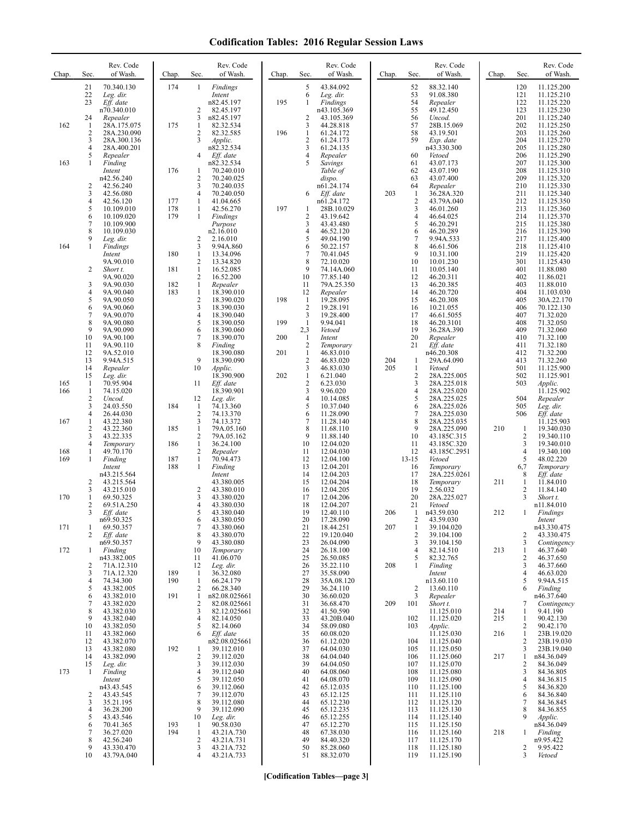## **Codification Tables: 2016 Regular Session Laws**

| Chap.      | Sec.                | Rev. Code<br>of Wash.      | Chap.      | Sec.                           | Rev. Code<br>of Wash.        | Chap. | Sec.                           | Rev. Code<br>of Wash.   | Chap.      | Sec.                           | Rev. Code<br>of Wash.      | Chap. | Sec.                | Rev. Code<br>of Wash.     |
|------------|---------------------|----------------------------|------------|--------------------------------|------------------------------|-------|--------------------------------|-------------------------|------------|--------------------------------|----------------------------|-------|---------------------|---------------------------|
|            | 21<br>22            | 70.340.130<br>Leg. dir.    | 174        | $\mathbf{1}$                   | Findings<br>Intent           |       | 5<br>6                         | 43.84.092<br>Leg. dir.  |            | 52<br>53                       | 88.32.140<br>91.08.380     |       | 120<br>121          | 11.125.200<br>11.125.210  |
|            | 23                  | Eff. date<br>n70.340.010   |            | 2                              | n82.45.197<br>82.45.197      | 195   | 1                              | Findings<br>n43.105.369 |            | 54<br>55                       | Repealer<br>49.12.450      |       | 122<br>123          | 11.125.220<br>11.125.230  |
| 162        | 24<br>1             | Repealer<br>28A.175.075    | 175        | 3<br>1                         | n82.45.197<br>82.32.534      |       | 2<br>3                         | 43.105.369<br>44.28.818 |            | 56<br>57                       | Uncod.<br>28B.15.069       |       | 201<br>202          | 11.125.240<br>11.125.250  |
|            | $\overline{2}$<br>3 | 28A.230.090<br>28A.300.136 |            | 2<br>3                         | 82.32.585<br>Applic.         | 196   | $\mathbf{1}$<br>$\overline{2}$ | 61.24.172<br>61.24.173  |            | 58<br>59                       | 43.19.501<br>Exp. date     |       | 203<br>204          | 11.125.260<br>11.125.270  |
|            | $\overline{4}$<br>5 | 28A.400.201<br>Repealer    |            | 4                              | n82.32.534<br>Eff. date      |       | 3<br>4                         | 61.24.135<br>Repealer   |            | 60                             | n43.330.300<br>Vetoed      |       | 205<br>206          | 11.125.280<br>11.125.290  |
| 163        | 1                   | Finding<br>Intent          | 176        | 1                              | n82.32.534<br>70.240.010     |       | 5                              | Savings<br>Table of     |            | 61<br>62                       | 43.07.173<br>43.07.190     |       | 207<br>208          | 11.125.300<br>11.125.310  |
|            | 2                   | n42.56.240<br>42.56.240    |            | 2<br>3                         | 70.240.025<br>70.240.035     |       |                                | dispo.<br>n61.24.174    |            | 63<br>64                       | 43.07.400<br>Repealer      |       | 209<br>210          | 11.125.320<br>11.125.330  |
|            | 3<br>$\overline{4}$ | 42.56.080<br>42.56.120     | 177        | 4<br>1                         | 70.240.050<br>41.04.665      |       | 6                              | Eff. date<br>n61.24.172 | 203        | $\mathbf{1}$<br>$\overline{2}$ | 36.28A.320<br>43.79A.040   |       | 211<br>212          | 11.125.340<br>11.125.350  |
|            | 5<br>6              | 10.109.010<br>10.109.020   | 178<br>179 | -1<br>1                        | 42.56.270<br>Findings        | 197   | 1<br>2                         | 28B.10.029<br>43.19.642 |            | 3<br>$\overline{4}$            | 46.01.260<br>46.64.025     |       | 213<br>214          | 11.125.360<br>11.125.370  |
|            | 7<br>8              | 10.109.900<br>10.109.030   |            |                                | Purpose<br>n2.16.010         |       | 3<br>4                         | 43.43.480<br>46.52.120  |            | 5<br>6                         | 46.20.291<br>46.20.289     |       | 215<br>216          | 11.125.380<br>11.125.390  |
| 164        | 9<br>1              | Leg. dir.<br>Findings      |            | 2<br>3                         | 2.16.010<br>9.94A.860        |       | 5<br>6                         | 49.04.190<br>50.22.157  |            | 7<br>8                         | 9.94A.533<br>46.61.506     |       | 217<br>218          | 11.125.400<br>11.125.410  |
|            |                     | Intent<br>9A.90.010        | 180        | 1<br>2                         | 13.34.096<br>13.34.820       |       | 7<br>8                         | 70.41.045<br>72.10.020  |            | 9<br>10                        | 10.31.100<br>10.01.230     |       | 219<br>301          | 11.125.420<br>11.125.430  |
|            | 2                   | Short t.<br>9A.90.020      | 181        | $\mathbf{1}$<br>$\overline{2}$ | 16.52.085<br>16.52.200       |       | 9<br>10                        | 74.14A.060<br>77.85.140 |            | 11<br>12                       | 10.05.140<br>46.20.311     |       | 401<br>402          | 11.88.080<br>11.86.021    |
|            | 3<br>$\overline{4}$ | 9A.90.030<br>9A.90.040     | 182<br>183 | $\mathbf{1}$<br>$\mathbf{1}$   | Repealer<br>18.390.010       |       | 11<br>12                       | 79A.25.350<br>Repealer  |            | 13<br>14                       | 46.20.385<br>46.20.720     |       | 403<br>404          | 11.88.010<br>11.103.030   |
|            | 5<br>6              | 9A.90.050<br>9A.90.060     |            | $\overline{2}$<br>3            | 18.390.020<br>18.390.030     | 198   | $\mathbf{1}$<br>$\overline{2}$ | 19.28.095<br>19.28.191  |            | 15<br>16                       | 46.20.308<br>10.21.055     |       | 405<br>406          | 30A.22.170<br>70.122.130  |
|            | 7<br>8              | 9A.90.070<br>9A.90.080     |            | 4<br>5                         | 18.390.040<br>18.390.050     | 199   | 3<br>-1                        | 19.28.400<br>9.94.041   |            | 17<br>18                       | 46.61.5055<br>46.20.3101   |       | 407<br>408          | 71.32.020<br>71.32.050    |
|            | 9<br>10             | 9A.90.090<br>9A.90.100     |            | 6<br>7                         | 18.390.060<br>18.390.070     | 200   | 2,3<br>-1                      | Vetoed<br>Intent        |            | 19<br>20                       | 36.28A.390<br>Repealer     |       | 409<br>410          | 71.32.060<br>71.32.100    |
|            | 11<br>12            | 9A.90.110<br>9A.52.010     |            | 8                              | Finding<br>18.390.080        | 201   | $\overline{c}$<br>$\mathbf{1}$ | Temporary<br>46.83.010  |            | 21                             | Eff. date<br>n46.20.308    |       | 411<br>412          | 71.32.180<br>71.32.200    |
|            | 13<br>14            | 9.94A.515<br>Repealer      |            | 9<br>10                        | 18.390.090<br>Applic.        |       | 2<br>3                         | 46.83.020<br>46.83.030  | 204<br>205 | -1<br>$\mathbf{1}$             | 29A.64.090<br>Vetoed       |       | 413<br>501          | 71.32.260<br>11.125.900   |
| 165        | 15<br>1             | Leg. dir.<br>70.95.904     |            | 11                             | 18.390.900<br>Eff. date      | 202   | $\mathbf{1}$<br>$\sqrt{2}$     | 6.21.040<br>6.23.030    |            | 2<br>3                         | 28A.225.005<br>28A.225.018 |       | 502<br>503          | 11.125.901<br>Applic.     |
| 166        | 1<br>$\sqrt{2}$     | 74.15.020<br>Uncod.        |            | 12                             | 18.390.901<br>Leg. dir.      |       | 3<br>4                         | 9.96.020<br>10.14.085   |            | 4<br>5                         | 28A.225.020<br>28A.225.025 |       | 504                 | 11.125.902<br>Repealer    |
|            | 3<br>$\overline{4}$ | 24.03.550<br>26.44.030     | 184        | -1<br>$\overline{2}$           | 74.13.360<br>74.13.370       |       | 5<br>6                         | 10.37.040<br>11.28.090  |            | 6<br>$\overline{7}$            | 28A.225.026<br>28A.225.030 |       | 505<br>506          | Leg. dir.<br>Eff. date    |
| 167        | 1<br>2              | 43.22.380<br>43.22.360     | 185        | 3<br>$\mathbf{1}$              | 74.13.372<br>79A.05.160      |       | 7<br>8                         | 11.28.140<br>11.68.110  |            | 8<br>9                         | 28A.225.035<br>28A.225.090 | 210   | 1                   | 11.125.903<br>19.340.030  |
|            | 3<br>$\overline{4}$ | 43.22.335<br>Temporary     | 186        | 2<br>$\mathbf{1}$              | 79A.05.162<br>36.24.100      |       | 9<br>10                        | 11.88.140<br>12.04.020  |            | 10<br>11                       | 43.185C.315<br>43.185C.320 |       | 2<br>3              | 19.340.110<br>19.340.010  |
| 168<br>169 | 1<br>1              | 49.70.170<br>Finding       | 187        | $\overline{2}$<br>$\mathbf{1}$ | Repealer<br>70.94.473        |       | 11<br>12                       | 12.04.030<br>12.04.100  |            | 12<br>$13 - 15$                | 43.185C.2951<br>Vetoed     |       | $\overline{4}$<br>5 | 19.340.100<br>48.02.220   |
|            |                     | Intent<br>n43.215.564      | 188        | $\mathbf{1}$                   | Finding<br>Intent            |       | 13<br>14                       | 12.04.201<br>12.04.203  |            | 16<br>17                       | Temporary<br>28A.225.0261  |       | 6,7<br>8            | Temporary<br>Eff. date    |
|            | 2<br>3              | 43.215.564<br>43.215.010   |            | 2                              | 43.380.005<br>43.380.010     |       | 15<br>16                       | 12.04.204<br>12.04.205  |            | 18<br>19                       | Temporary<br>2.56.032      | 211   | 1<br>$\overline{2}$ | 11.84.010<br>11.84.140    |
| 170        | 1<br>$\overline{2}$ | 69.50.325<br>69.51A.250    |            | 3<br>4                         | 43.380.020<br>43.380.030     |       | 17<br>18                       | 12.04.206<br>12.04.207  |            | 20<br>21                       | 28A.225.027<br>Vetoed      |       | 3                   | Short t.<br>n11.84.010    |
|            | 3                   | Eff. date<br>n69.50.325    |            | 5<br>6                         | 43.380.040<br>43.380.050     |       | 19<br>20                       | 12.40.110<br>17.28.090  | 206        | 1<br>2                         | n43.59.030<br>43.59.030    | 212   | 1                   | Findings<br>Intent        |
| 171        | 1<br>2              | 69.50.357<br>Eff. date     |            | 7<br>8                         | 43.380.060<br>43.380.070     |       | 21<br>22                       | 18.44.251<br>19.120.040 | 207        | 1<br>$\overline{2}$            | 39.104.020<br>39.104.100   |       | 2                   | n43.330.475<br>43.330.475 |
| 172        | 1                   | n69.50.357<br>Finding      |            | 9<br>10                        | 43.380.080<br>Temporary      |       | 23<br>24                       | 26.04.090<br>26.18.100  |            | 3<br>4                         | 39.104.150<br>82.14.510    | 213   | 3<br>1              | Contingency<br>46.37.640  |
|            | 2                   | n43.382.005<br>71A.12.310  |            | 11<br>12                       | 41.06.070<br>Leg. dir.       |       | 25<br>26                       | 26.50.085<br>35.22.110  | 208        | 5<br>1                         | 82.32.765<br>Finding       |       | 2<br>3              | 46.37.650<br>46.37.660    |
|            | 3<br>4              | 71A.12.320<br>74.34.300    | 189<br>190 | -1<br>$\mathbf{1}$             | 36.32.080<br>66.24.179       |       | 27<br>28                       | 35.58.090<br>35A.08.120 |            |                                | Intent<br>n13.60.110       |       | $\overline{4}$<br>5 | 46.63.020<br>9.94A.515    |
|            | 5<br>6              | 43.382.005<br>43.382.010   | 191        | 2<br>1                         | 66.28.340<br>n82.08.025661   |       | 29<br>30                       | 36.24.110<br>36.60.020  |            | $\overline{2}$<br>3            | 13.60.110<br>Repealer      |       | 6                   | Finding<br>n46.37.640     |
|            | 7<br>8              | 43.382.020<br>43.382.030   |            | 2<br>3                         | 82.08.025661<br>82.12.025661 |       | 31<br>32                       | 36.68.470<br>41.50.590  | 209        | 101                            | Short t.<br>11.125.010     | 214   | 7<br>1              | Contingency<br>9.41.190   |
|            | 9<br>10             | 43.382.040<br>43.382.050   |            | 4<br>5                         | 82.14.050<br>82.14.060       |       | 33<br>34                       | 43.20B.040<br>58.09.080 |            | 102<br>103                     | 11.125.020<br>Applic.      | 215   | 1<br>2              | 90.42.130<br>90.42.170    |
|            | 11<br>12            | 43.382.060<br>43.382.070   |            | 6                              | Eff. date<br>n82.08.025661   |       | 35<br>36                       | 60.08.020<br>61.12.020  |            | 104                            | 11.125.030<br>11.125.040   | 216   | 1<br>2              | 23B.19.020<br>23B.19.030  |
|            | 13<br>14            | 43.382.080<br>43.382.090   | 192        | 1<br>2                         | 39.112.010<br>39.112.020     |       | 37<br>38                       | 64.04.030<br>64.04.040  |            | 105<br>106                     | 11.125.050<br>11.125.060   | 217   | 3<br>1              | 23B.19.040<br>n84.36.049  |
| 173        | 15<br>$\mathbf{1}$  | Leg. dir.<br>Finding       |            | 3<br>4                         | 39.112.030<br>39.112.040     |       | 39<br>40                       | 64.04.050<br>64.08.060  |            | 107<br>108                     | 11.125.070<br>11.125.080   |       | 2<br>3              | 84.36.049<br>84.36.805    |
|            |                     | Intent<br>n43.43.545       |            | 5<br>6                         | 39.112.050<br>39.112.060     |       | 41<br>42                       | 64.08.070<br>65.12.035  |            | 109<br>110                     | 11.125.090<br>11.125.100   |       | $\overline{4}$<br>5 | 84.36.815<br>84.36.820    |
|            | 2<br>3              | 43.43.545<br>35.21.195     |            | 7<br>8                         | 39.112.070<br>39.112.080     |       | 43<br>44                       | 65.12.125<br>65.12.230  |            | 111<br>112                     | 11.125.110<br>11.125.120   |       | 6<br>7              | 84.36.840<br>84.36.845    |
|            | 4<br>5              | 36.28.200<br>43.43.546     |            | 9<br>10                        | 39.112.090<br>Leg. dir.      |       | 45<br>46                       | 65.12.235<br>65.12.255  |            | 113<br>114                     | 11.125.130<br>11.125.140   |       | 8<br>9              | 84.36.855<br>Applic.      |
|            | 6<br>$\overline{7}$ | 70.41.365<br>36.27.020     | 193<br>194 | -1<br>1                        | 90.58.030<br>43.21A.730      |       | 47<br>48                       | 65.12.270<br>67.38.030  |            | 115<br>116                     | 11.125.150<br>11.125.160   | 218   | 1                   | n84.36.049<br>Finding     |
|            | 8<br>9              | 42.56.240<br>43.330.470    |            | 2<br>3                         | 43.21A.731<br>43.21A.732     |       | 49<br>50                       | 84.40.320<br>85.28.060  |            | 117<br>118                     | 11.125.170<br>11.125.180   |       | 2                   | n9.95.422<br>9.95.422     |
|            | 10                  | 43.79A.040                 |            | 4                              | 43.21A.733                   |       | 51                             | 88.32.070               |            | 119                            | 11.125.190                 |       | 3                   | Vetoed                    |

**[Codification Tables—page 3]**